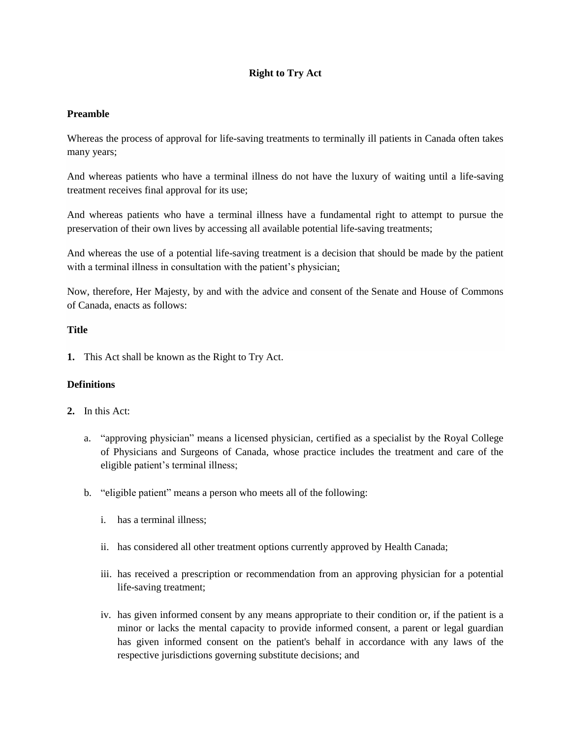# **Right to Try Act**

### **Preamble**

Whereas the process of approval for life-saving treatments to terminally ill patients in Canada often takes many years;

And whereas patients who have a terminal illness do not have the luxury of waiting until a life-saving treatment receives final approval for its use;

And whereas patients who have a terminal illness have a fundamental right to attempt to pursue the preservation of their own lives by accessing all available potential life-saving treatments;

And whereas the use of a potential life-saving treatment is a decision that should be made by the patient with a terminal illness in consultation with the patient's physician;

Now, therefore, Her Majesty, by and with the advice and consent of the Senate and House of Commons of Canada, enacts as follows:

## **Title**

**1.** This Act shall be known as the Right to Try Act.

# **Definitions**

- **2.** In this Act:
	- a. "approving physician" means a licensed physician, certified as a specialist by the Royal College of Physicians and Surgeons of Canada, whose practice includes the treatment and care of the eligible patient's terminal illness;
	- b. "eligible patient" means a person who meets all of the following:
		- i. has a terminal illness;
		- ii. has considered all other treatment options currently approved by Health Canada;
		- iii. has received a prescription or recommendation from an approving physician for a potential life-saving treatment;
		- iv. has given informed consent by any means appropriate to their condition or, if the patient is a minor or lacks the mental capacity to provide informed consent, a parent or legal guardian has given informed consent on the patient's behalf in accordance with any laws of the respective jurisdictions governing substitute decisions; and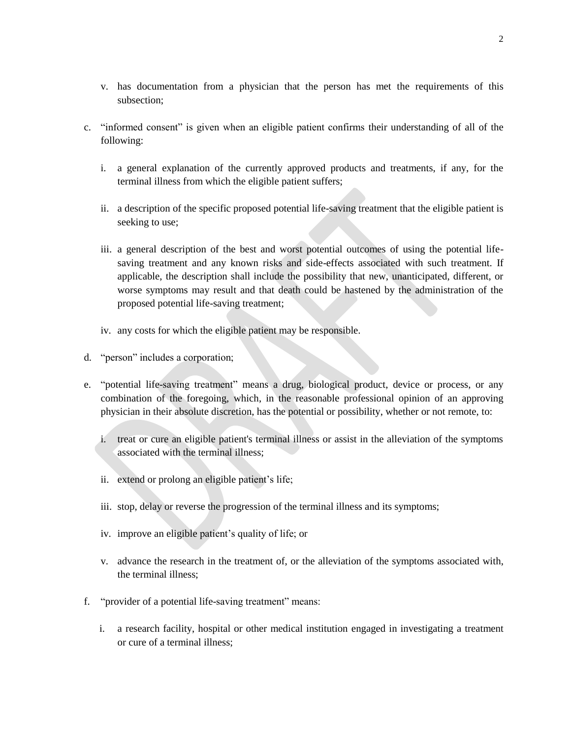- v. has documentation from a physician that the person has met the requirements of this subsection;
- c. "informed consent" is given when an eligible patient confirms their understanding of all of the following:
	- i. a general explanation of the currently approved products and treatments, if any, for the terminal illness from which the eligible patient suffers;
	- ii. a description of the specific proposed potential life-saving treatment that the eligible patient is seeking to use;
	- iii. a general description of the best and worst potential outcomes of using the potential lifesaving treatment and any known risks and side-effects associated with such treatment. If applicable, the description shall include the possibility that new, unanticipated, different, or worse symptoms may result and that death could be hastened by the administration of the proposed potential life-saving treatment;
	- iv. any costs for which the eligible patient may be responsible.
- d. "person" includes a corporation;
- e. "potential life-saving treatment" means a drug, biological product, device or process, or any combination of the foregoing, which, in the reasonable professional opinion of an approving physician in their absolute discretion, has the potential or possibility, whether or not remote, to:
	- i. treat or cure an eligible patient's terminal illness or assist in the alleviation of the symptoms associated with the terminal illness;
	- ii. extend or prolong an eligible patient's life;
	- iii. stop, delay or reverse the progression of the terminal illness and its symptoms;
	- iv. improve an eligible patient's quality of life; or
	- v. advance the research in the treatment of, or the alleviation of the symptoms associated with, the terminal illness;
- f. "provider of a potential life-saving treatment" means:
	- i. a research facility, hospital or other medical institution engaged in investigating a treatment or cure of a terminal illness;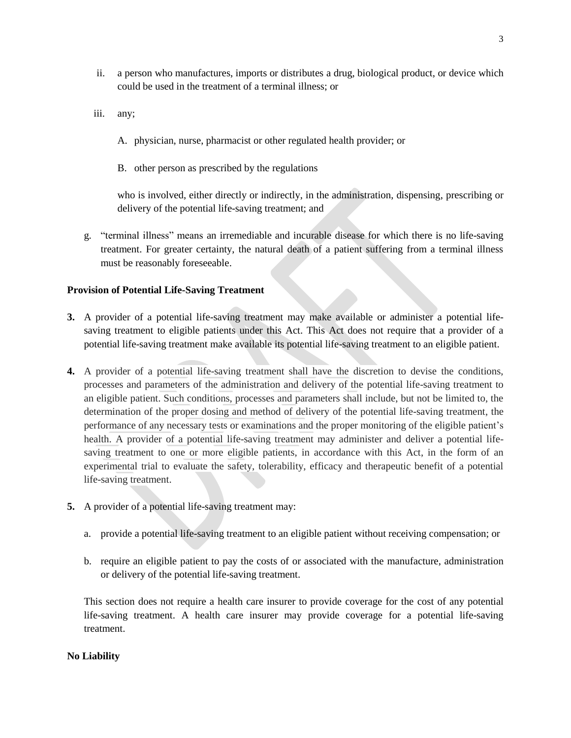- ii. a person who manufactures, imports or distributes a drug, biological product, or device which could be used in the treatment of a terminal illness; or
- iii. any;
	- A. physician, nurse, pharmacist or other regulated health provider; or
	- B. other person as prescribed by the regulations

who is involved, either directly or indirectly, in the administration, dispensing, prescribing or delivery of the potential life-saving treatment; and

g. "terminal illness" means an irremediable and incurable disease for which there is no life-saving treatment. For greater certainty, the natural death of a patient suffering from a terminal illness must be reasonably foreseeable.

### **Provision of Potential Life-Saving Treatment**

- **3.** A provider of a potential life-saving treatment may make available or administer a potential lifesaving treatment to eligible patients under this Act. This Act does not require that a provider of a potential life-saving treatment make available its potential life-saving treatment to an eligible patient.
- **4.** A provider of a potential life-saving treatment shall have the discretion to devise the conditions, processes and parameters of the administration and delivery of the potential life-saving treatment to an eligible patient. Such conditions, processes and parameters shall include, but not be limited to, the determination of the proper dosing and method of delivery of the potential life-saving treatment, the performance of any necessary tests or examinations and the proper monitoring of the eligible patient's health. A provider of a potential life-saving treatment may administer and deliver a potential lifesaving treatment to one or more eligible patients, in accordance with this Act, in the form of an experimental trial to evaluate the safety, tolerability, efficacy and therapeutic benefit of a potential life-saving treatment.
- **5.** A provider of a potential life-saving treatment may:
	- a. provide a potential life-saving treatment to an eligible patient without receiving compensation; or
	- b. require an eligible patient to pay the costs of or associated with the manufacture, administration or delivery of the potential life-saving treatment.

This section does not require a health care insurer to provide coverage for the cost of any potential life-saving treatment. A health care insurer may provide coverage for a potential life-saving treatment.

#### **No Liability**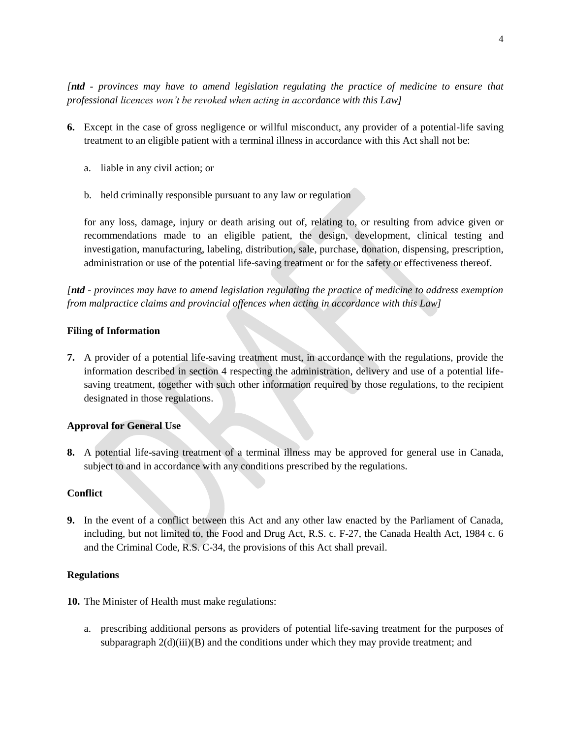*[ntd - provinces may have to amend legislation regulating the practice of medicine to ensure that professional licences won't be revoked when acting in accordance with this Law]*

- **6.** Except in the case of gross negligence or willful misconduct, any provider of a potential-life saving treatment to an eligible patient with a terminal illness in accordance with this Act shall not be:
	- a. liable in any civil action; or
	- b. held criminally responsible pursuant to any law or regulation

for any loss, damage, injury or death arising out of, relating to, or resulting from advice given or recommendations made to an eligible patient, the design, development, clinical testing and investigation, manufacturing, labeling, distribution, sale, purchase, donation, dispensing, prescription, administration or use of the potential life-saving treatment or for the safety or effectiveness thereof.

*[ntd - provinces may have to amend legislation regulating the practice of medicine to address exemption from malpractice claims and provincial offences when acting in accordance with this Law]*

#### **Filing of Information**

**7.** A provider of a potential life-saving treatment must, in accordance with the regulations, provide the information described in section 4 respecting the administration, delivery and use of a potential lifesaving treatment, together with such other information required by those regulations, to the recipient designated in those regulations.

#### **Approval for General Use**

**8.** A potential life-saving treatment of a terminal illness may be approved for general use in Canada, subject to and in accordance with any conditions prescribed by the regulations.

#### **Conflict**

**9.** In the event of a conflict between this Act and any other law enacted by the Parliament of Canada, including, but not limited to, the Food and Drug Act, R.S. c. F-27, the Canada Health Act, 1984 c. 6 and the Criminal Code, R.S. C-34, the provisions of this Act shall prevail.

#### **Regulations**

**10.** The Minister of Health must make regulations:

a. prescribing additional persons as providers of potential life-saving treatment for the purposes of subparagraph  $2(d)(iii)(B)$  and the conditions under which they may provide treatment; and